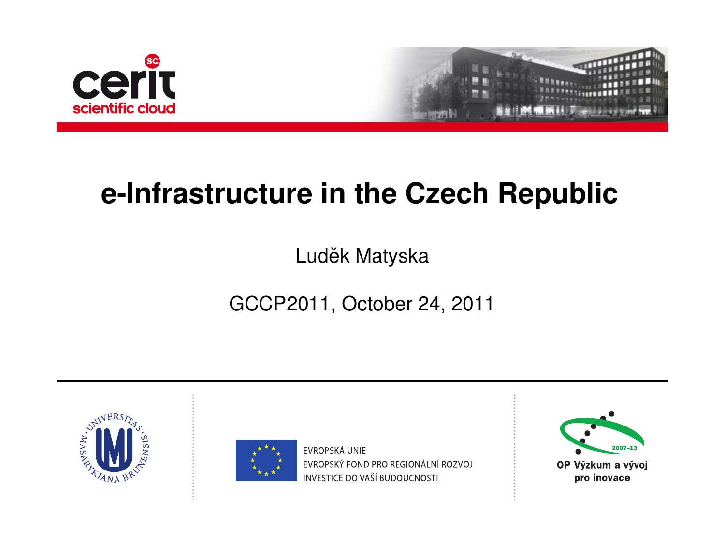



### **e-Infrastructure in the Czech Republic**

#### Luděk Matyska

#### GCCP2011, October 24, 2011

<span id="page-0-0"></span>



**FVROPSKÁ UNIF** EVROPSKÝ FOND PRO REGIONÁLNÍ ROZVOJ INVESTICE DO VAŠÍ BUDOUCNOSTI

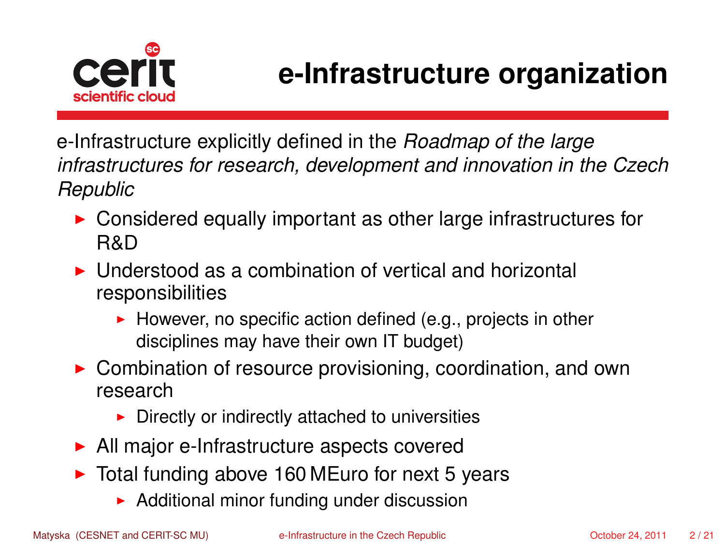

### **e-Infrastructure organization**

e-Infrastructure explicitly defined in the *Roadmap of the large infrastructures for research, development and innovation in the Czech Republic*

- $\triangleright$  Considered equally important as other large infrastructures for R&D
- I Understood as a combination of vertical and horizontal responsibilities
	- $\blacktriangleright$  However, no specific action defined (e.g., projects in other disciplines may have their own IT budget)
- $\triangleright$  Combination of resource provisioning, coordination, and own research
	- $\triangleright$  Directly or indirectly attached to universities
- $\blacktriangleright$  All major e-Infrastructure aspects covered
- $\triangleright$  Total funding above 160 MEuro for next 5 years
	- $\blacktriangleright$  Additional minor funding under discussion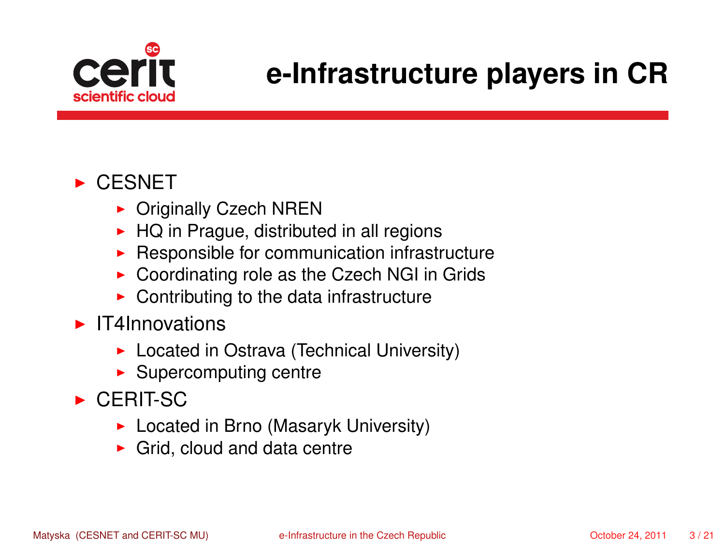

# **e-Infrastructure players in CR**

#### $\triangleright$  CESNET

- $\triangleright$  Originally Czech NREN
- $\blacktriangleright$  HQ in Prague, distributed in all regions
- $\blacktriangleright$  Responsible for communication infrastructure
- $\triangleright$  Coordinating role as the Czech NGI in Grids
- $\blacktriangleright$  Contributing to the data infrastructure
- $\blacktriangleright$  IT4Innovations
	- $\blacktriangleright$  Located in Ostrava (Technical University)
	- $\blacktriangleright$  Supercomputing centre
- $\triangleright$  CERIT-SC
	- $\blacktriangleright$  Located in Brno (Masaryk University)
	- $\blacktriangleright$  Grid, cloud and data centre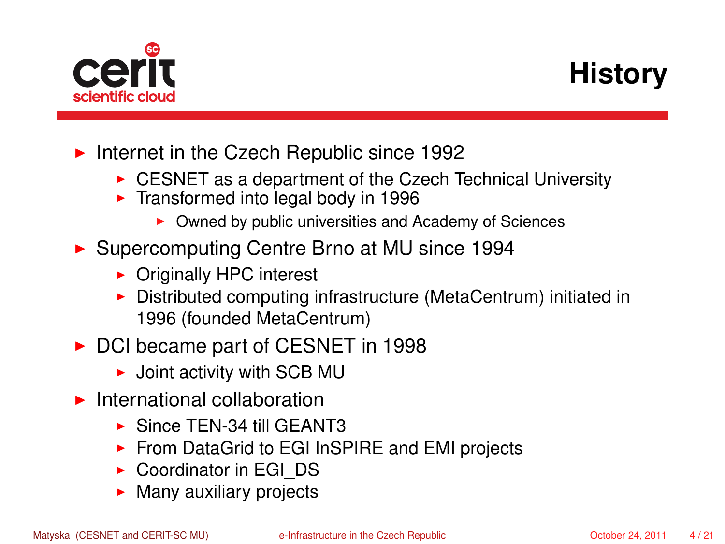

# **History**

- Internet in the Czech Republic since 1992
	- $\triangleright$  CESNET as a department of the Czech Technical University
	- $\blacktriangleright$  Transformed into legal body in 1996
		- Owned by public universities and Academy of Sciences
- ▶ Supercomputing Centre Brno at MU since 1994
	- $\triangleright$  Originally HPC interest
	- $\triangleright$  Distributed computing infrastructure (MetaCentrum) initiated in 1996 (founded MetaCentrum)
- ▶ DCI became part of CESNET in 1998
	- $\blacktriangleright$  Joint activity with SCB MU
- $\blacktriangleright$  International collaboration
	- $\triangleright$  Since TEN-34 till GEANT3
	- ▶ From DataGrid to EGI InSPIRE and EMI projects
	- $\triangleright$  Coordinator in EGI\_DS
	- $\blacktriangleright$  Many auxiliary projects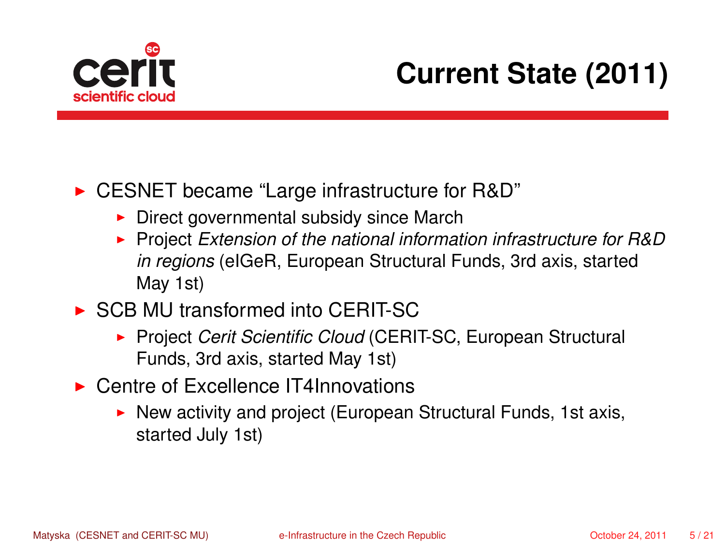

# **Current State (2011)**

► CESNET became "Large infrastructure for R&D"

- $\triangleright$  Direct governmental subsidy since March
- ▶ Project *Extension of the national information infrastructure for R&D in regions* (eIGeR, European Structural Funds, 3rd axis, started May 1st)
- $\triangleright$  SCB MU transformed into CERIT-SC
	- **Project Cerit Scientific Cloud (CERIT-SC, European Structural** Funds, 3rd axis, started May 1st)
- ▶ Centre of Excellence IT4Innovations
	- $\triangleright$  New activity and project (European Structural Funds, 1st axis, started July 1st)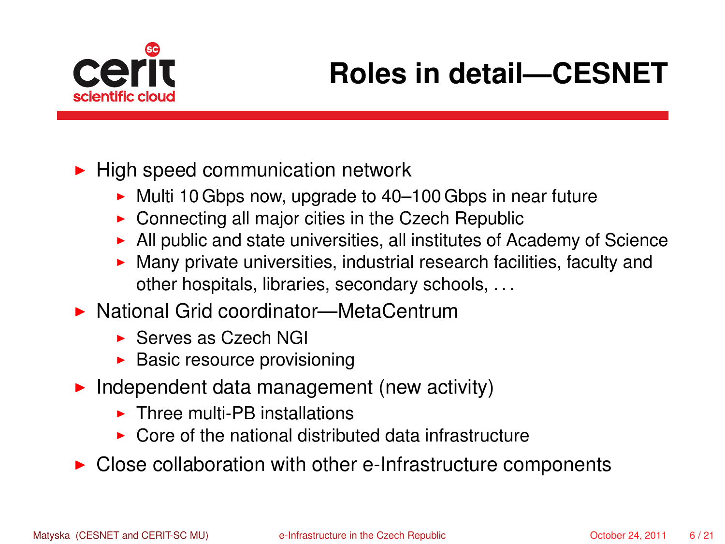

# **Roles in detail—CESNET**

 $\blacktriangleright$  High speed communication network

- $\blacktriangleright$  Multi 10 Gbps now, upgrade to 40–100 Gbps in near future
- $\triangleright$  Connecting all major cities in the Czech Republic
- $\blacktriangleright$  All public and state universities, all institutes of Academy of Science
- $\blacktriangleright$  Many private universities, industrial research facilities, faculty and other hospitals, libraries, secondary schools, . . .
- ▶ National Grid coordinator—MetaCentrum
	- $\triangleright$  Serves as Czech NGI
	- $\blacktriangleright$  Basic resource provisioning
- $\blacktriangleright$  Independent data management (new activity)
	- $\blacktriangleright$  Three multi-PB installations
	- $\triangleright$  Core of the national distributed data infrastructure
- $\triangleright$  Close collaboration with other e-Infrastructure components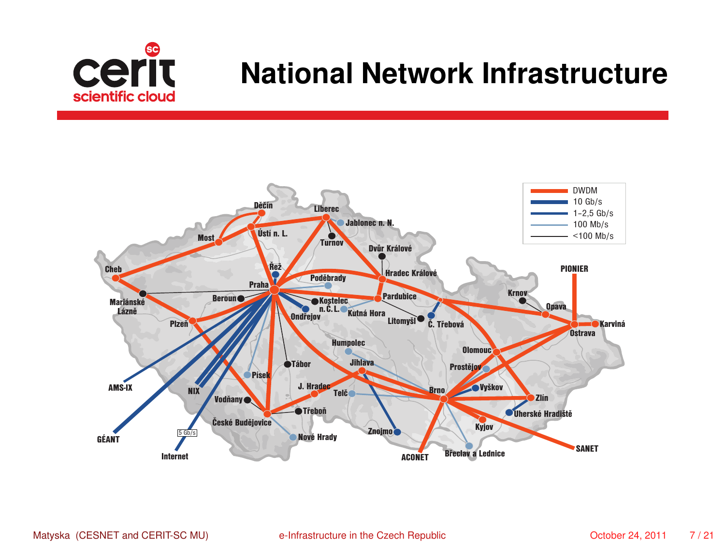

### **National Network Infrastructure**

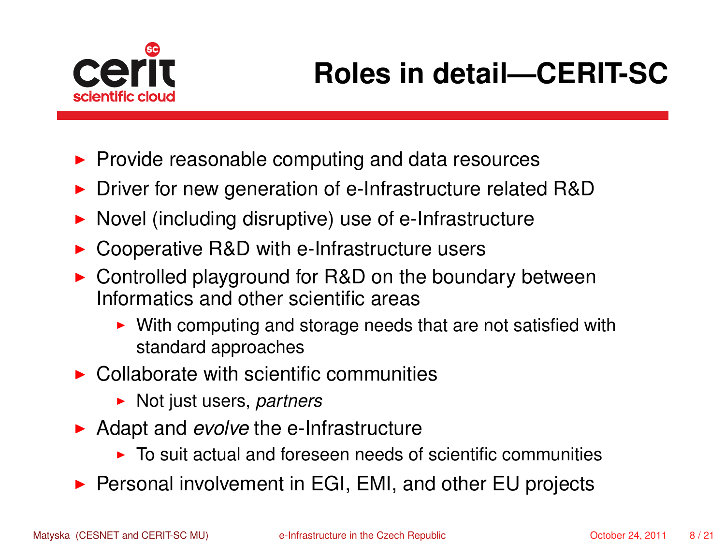

- $\blacktriangleright$  Provide reasonable computing and data resources
- ▶ Driver for new generation of e-Infrastructure related R&D
- $\triangleright$  Novel (including disruptive) use of e-Infrastructure
- $\triangleright$  Cooperative R&D with e-Infrastructure users
- $\triangleright$  Controlled playground for R&D on the boundary between Informatics and other scientific areas
	- $\triangleright$  With computing and storage needs that are not satisfied with standard approaches
- $\triangleright$  Collaborate with scientific communities
	- ► Not just users, *partners*
- ▶ Adapt and *evolve* the e-Infrastructure
	- $\triangleright$  To suit actual and foreseen needs of scientific communities
- ▶ Personal involvement in EGI, EMI, and other EU projects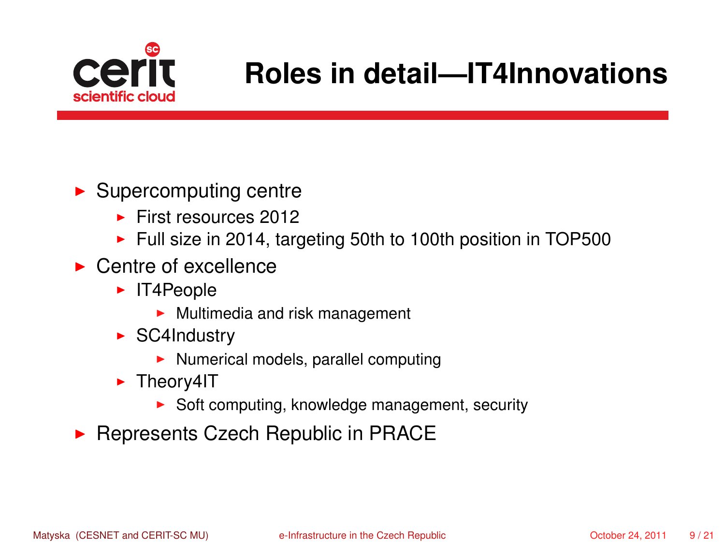

### **Roles in detail—IT4Innovations**

#### $\blacktriangleright$  Supercomputing centre

- $\blacktriangleright$  First resources 2012
- $\blacktriangleright$  Full size in 2014, targeting 50th to 100th position in TOP500
- $\blacktriangleright$  Centre of excellence
	- $\blacktriangleright$  IT4People
		- $\blacktriangleright$  Multimedia and risk management
	- $\triangleright$  SC4Industry
		- $\blacktriangleright$  Numerical models, parallel computing
	- $\blacktriangleright$  Theory4IT
		- $\triangleright$  Soft computing, knowledge management, security
- **Represents Czech Republic in PRACE**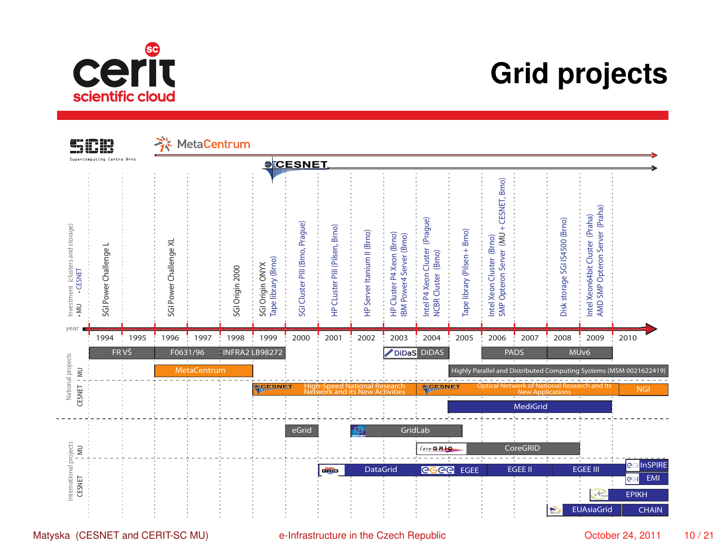

### **Grid projects**



Matyska (CESNET and CERIT-SC MU) [e-Infrastructure in the Czech Republic](#page-0-0) CHESNET 2011 10/21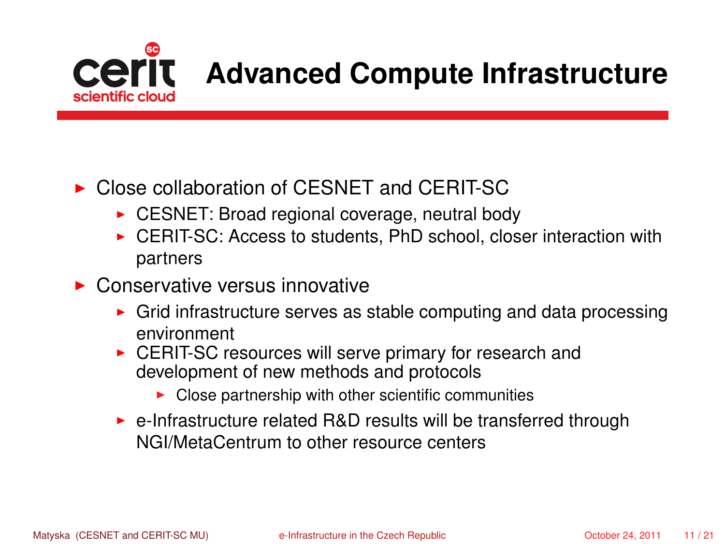

## **Advanced Compute Infrastructure**

#### ▶ Close collaboration of CESNET and CERIT-SC

- $\triangleright$  CESNET: Broad regional coverage, neutral body
- $\triangleright$  CERIT-SC: Access to students, PhD school, closer interaction with partners
- $\triangleright$  Conservative versus innovative
	- $\triangleright$  Grid infrastructure serves as stable computing and data processing environment
	- $\triangleright$  CERIT-SC resources will serve primary for research and development of new methods and protocols
		- $\triangleright$  Close partnership with other scientific communities
	- $\triangleright$  e-Infrastructure related R&D results will be transferred through NGI/MetaCentrum to other resource centers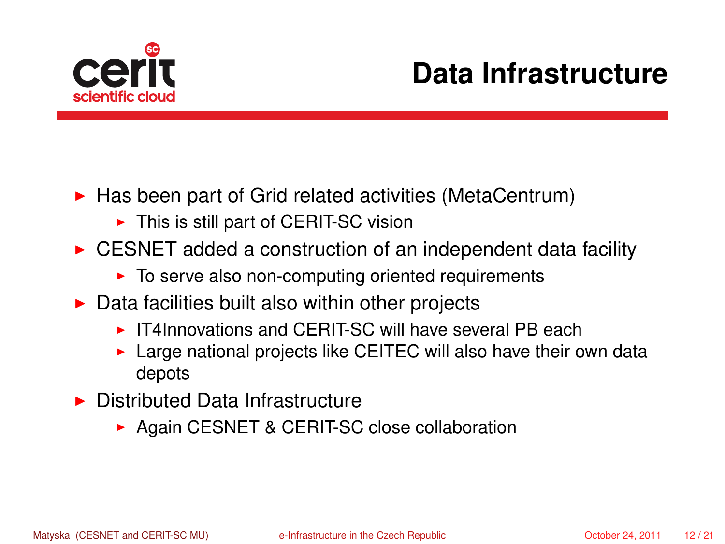

## **Data Infrastructure**

- $\blacktriangleright$  Has been part of Grid related activities (MetaCentrum)
	- $\blacktriangleright$  This is still part of CERIT-SC vision
- $\triangleright$  CESNET added a construction of an independent data facility
	- $\blacktriangleright$  To serve also non-computing oriented requirements
- $\triangleright$  Data facilities built also within other projects
	- $\triangleright$  IT4Innovations and CFRIT-SC will have several PB each
	- $\triangleright$  Large national projects like CEITEC will also have their own data depots
- $\blacktriangleright$  Distributed Data Infrastructure
	- ▶ Again CESNET & CERIT-SC close collaboration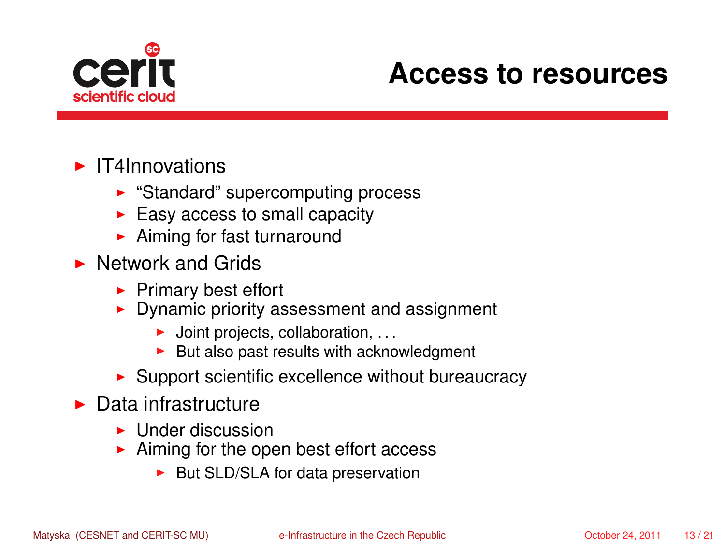

#### **Access to resources**

#### $\blacktriangleright$  IT4Innovations

- $\blacktriangleright$  "Standard" supercomputing process
- $\blacktriangleright$  Easy access to small capacity
- $\blacktriangleright$  Aiming for fast turnaround
- $\blacktriangleright$  Network and Grids
	- $\blacktriangleright$  Primary best effort
	- $\triangleright$  Dynamic priority assessment and assignment
		- $\blacktriangleright$  Joint projects, collaboration, ...
		- $\blacktriangleright$  But also past results with acknowledgment
	- $\blacktriangleright$  Support scientific excellence without bureaucracy
- $\blacktriangleright$  Data infrastructure
	- $\blacktriangleright$  Under discussion
	- $\blacktriangleright$  Aiming for the open best effort access
		- $\blacktriangleright$  But SLD/SLA for data preservation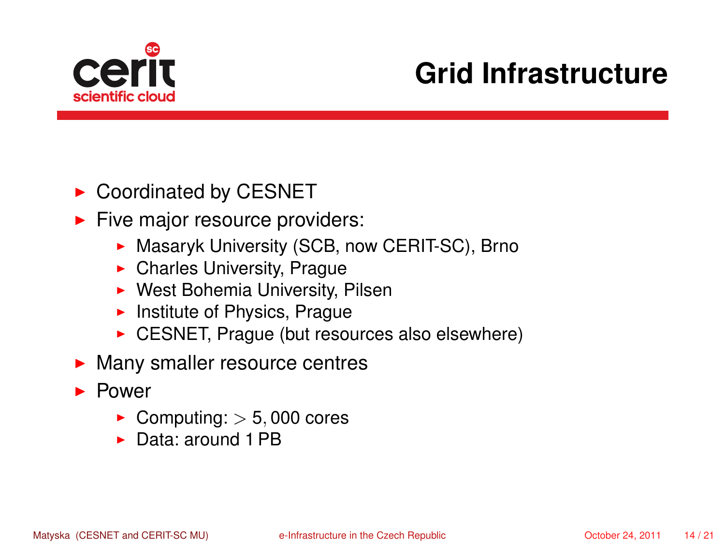

# **Grid Infrastructure**

- $\triangleright$  Coordinated by CESNET
- $\blacktriangleright$  Five major resource providers:
	- **Masaryk University (SCB, now CERIT-SC), Brno**
	- $\blacktriangleright$  Charles University, Prague
	- $\triangleright$  West Bohemia University, Pilsen
	- $\blacktriangleright$  Institute of Physics, Prague
	- $\triangleright$  CESNET, Prague (but resources also elsewhere)
- $\blacktriangleright$  Many smaller resource centres
- $\blacktriangleright$  Power
	- $\blacktriangleright$  Computing:  $>$  5,000 cores
	- ▶ Data: around 1 PB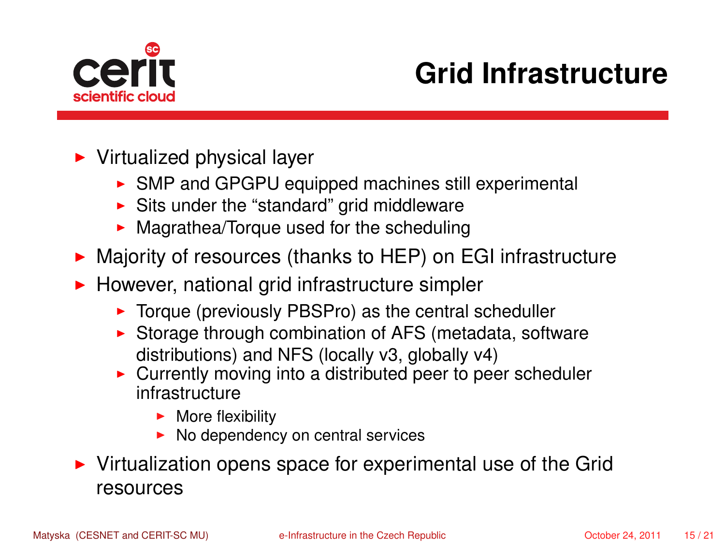

# **Grid Infrastructure**

- $\blacktriangleright$  Virtualized physical layer
	- $\triangleright$  SMP and GPGPU equipped machines still experimental
	- $\blacktriangleright$  Sits under the "standard" grid middleware
	- $\blacktriangleright$  Magrathea/Torque used for the scheduling
- ▶ Majority of resources (thanks to HEP) on EGI infrastructure
- $\blacktriangleright$  However, national grid infrastructure simpler
	- $\triangleright$  Torque (previously PBSPro) as the central scheduller
	- $\triangleright$  Storage through combination of AFS (metadata, software distributions) and NFS (locally v3, globally v4)
	- $\triangleright$  Currently moving into a distributed peer to peer scheduler infrastructure
		- $\blacktriangleright$  More flexibility
		- $\triangleright$  No dependency on central services
- $\triangleright$  Virtualization opens space for experimental use of the Grid resources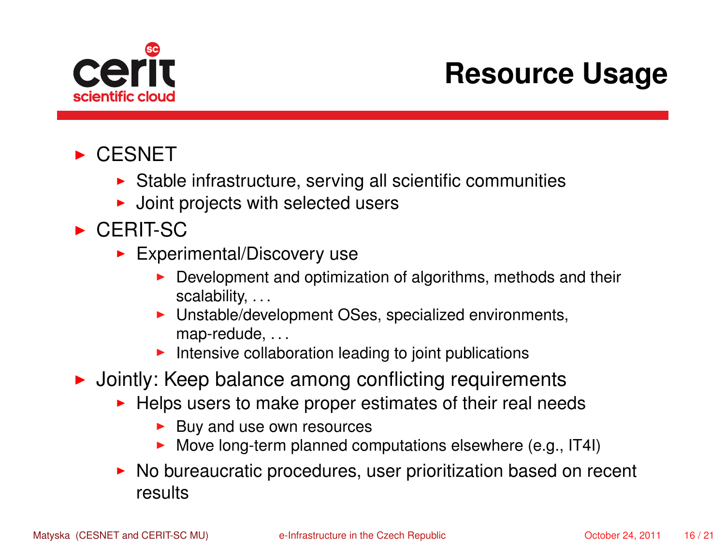

## **Resource Usage**

#### $\triangleright$  CESNET

- $\triangleright$  Stable infrastructure, serving all scientific communities
- $\blacktriangleright$  Joint projects with selected users
- $\triangleright$  CERIT-SC
	- $\blacktriangleright$  Experimental/Discovery use
		- $\triangleright$  Development and optimization of algorithms, methods and their scalability...
		- $\blacktriangleright$  Unstable/development OSes, specialized environments, map-redude, ...
		- $\blacktriangleright$  Intensive collaboration leading to joint publications
- $\triangleright$  Jointly: Keep balance among conflicting requirements
	- $\blacktriangleright$  Helps users to make proper estimates of their real needs
		- $\blacktriangleright$  Buv and use own resources
		- $\triangleright$  Move long-term planned computations elsewhere (e.g., IT4I)
	- $\triangleright$  No bureaucratic procedures, user prioritization based on recent results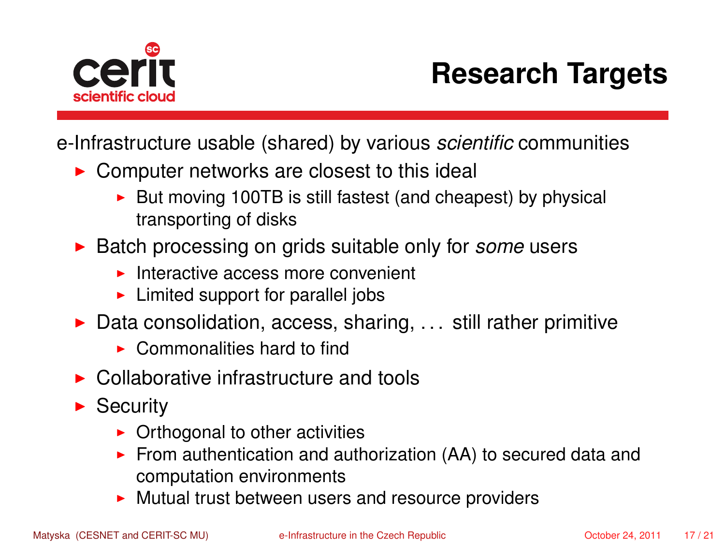

# **Research Targets**

e-Infrastructure usable (shared) by various *scientific* communities

- $\triangleright$  Computer networks are closest to this ideal
	- $\triangleright$  But moving 100TB is still fastest (and cheapest) by physical transporting of disks
- ▶ Batch processing on grids suitable only for *some* users
	- $\blacktriangleright$  Interactive access more convenient
	- $\blacktriangleright$  Limited support for parallel jobs
- $\triangleright$  Data consolidation, access, sharing, ... still rather primitive
	- $\triangleright$  Commonalities hard to find
- $\triangleright$  Collaborative infrastructure and tools
- $\blacktriangleright$  Security
	- $\triangleright$  Orthogonal to other activities
	- From authentication and authorization  $(AA)$  to secured data and computation environments
	- $\blacktriangleright$  Mutual trust between users and resource providers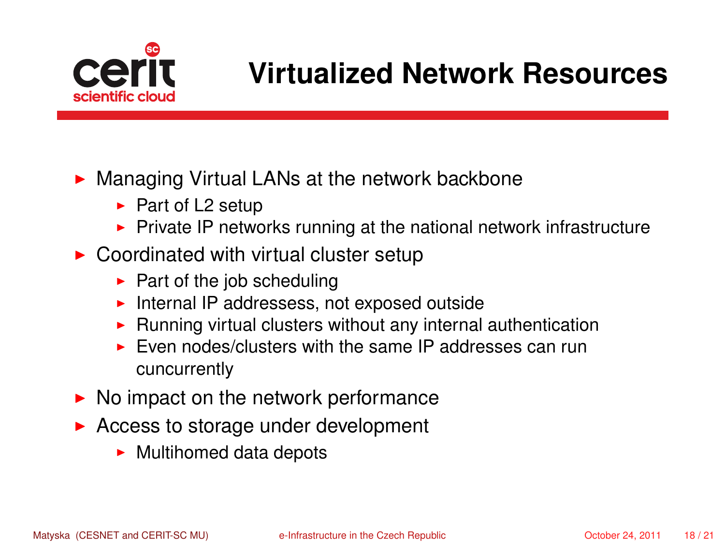

### **Virtualized Network Resources**

 $\triangleright$  Managing Virtual LANs at the network backbone

- $\blacktriangleright$  Part of L2 setup
- $\triangleright$  Private IP networks running at the national network infrastructure
- $\triangleright$  Coordinated with virtual cluster setup
	- $\blacktriangleright$  Part of the job scheduling
	- $\blacktriangleright$  Internal IP addressess, not exposed outside
	- $\blacktriangleright$  Running virtual clusters without any internal authentication
	- $\triangleright$  Even nodes/clusters with the same IP addresses can run cuncurrently
- $\triangleright$  No impact on the network performance
- $\triangleright$  Access to storage under development
	- $\blacktriangleright$  Multihomed data depots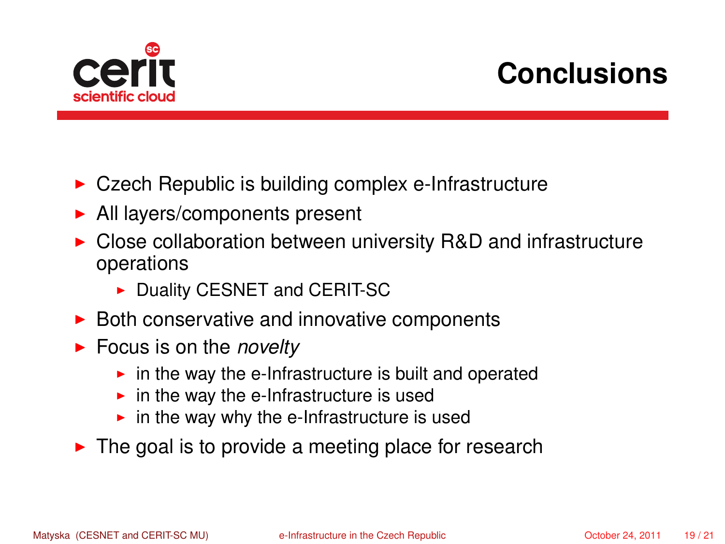

# **Conclusions**

- $\triangleright$  Czech Republic is building complex e-Infrastructure
- $\blacktriangleright$  All layers/components present
- $\triangleright$  Close collaboration between university R&D and infrastructure operations
	- Duality CESNET and CERIT-SC
- $\triangleright$  Both conservative and innovative components
- ► Focus is on the *novelty* 
	- $\triangleright$  in the way the e-Infrastructure is built and operated
	- $\blacktriangleright$  in the way the e-Infrastructure is used
	- $\blacktriangleright$  in the way why the e-Infrastructure is used
- $\blacktriangleright$  The goal is to provide a meeting place for research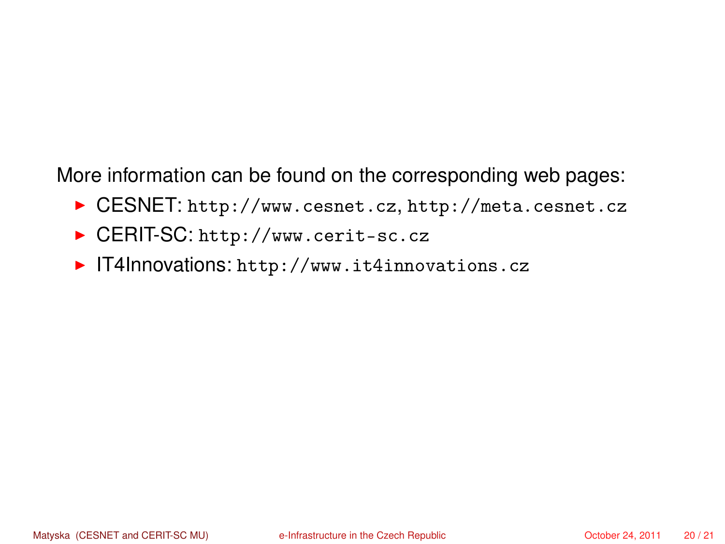More information can be found on the corresponding web pages:

- ▶ CESNET: <http://www.cesnet.cz>, <http://meta.cesnet.cz>
- ▶ CERIT-SC: <http://www.cerit-sc.cz>
- ▶ IT4Innovations: <http://www.it4innovations.cz>